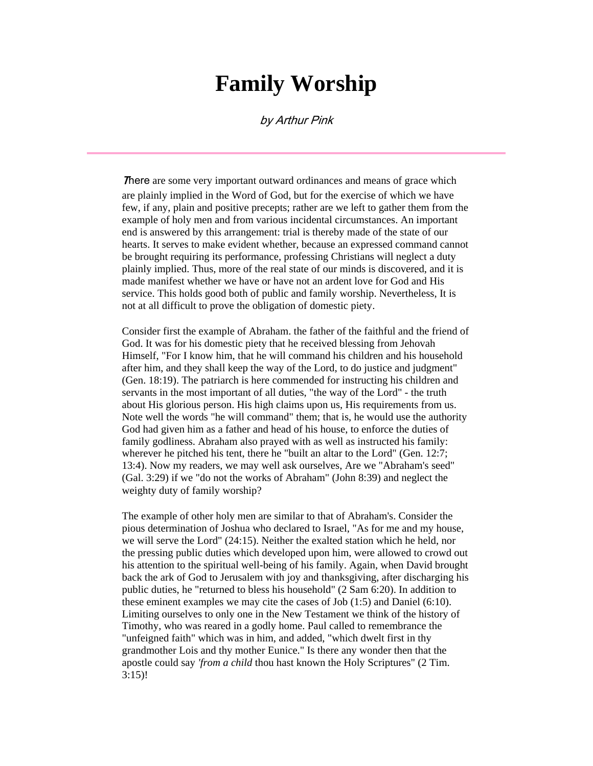## **Family Worship**

by Arthur Pink

There are some very important outward ordinances and means of grace which are plainly implied in the Word of God, but for the exercise of which we have few, if any, plain and positive precepts; rather are we left to gather them from the example of holy men and from various incidental circumstances. An important end is answered by this arrangement: trial is thereby made of the state of our hearts. It serves to make evident whether, because an expressed command cannot be brought requiring its performance, professing Christians will neglect a duty plainly implied. Thus, more of the real state of our minds is discovered, and it is made manifest whether we have or have not an ardent love for God and His service. This holds good both of public and family worship. Nevertheless, It is not at all difficult to prove the obligation of domestic piety.

Consider first the example of Abraham. the father of the faithful and the friend of God. It was for his domestic piety that he received blessing from Jehovah Himself, "For I know him, that he will command his children and his household after him, and they shall keep the way of the Lord, to do justice and judgment" (Gen. 18:19). The patriarch is here commended for instructing his children and servants in the most important of all duties, "the way of the Lord" - the truth about His glorious person. His high claims upon us, His requirements from us. Note well the words "he will command" them; that is, he would use the authority God had given him as a father and head of his house, to enforce the duties of family godliness. Abraham also prayed with as well as instructed his family: wherever he pitched his tent, there he "built an altar to the Lord" (Gen. 12:7; 13:4). Now my readers, we may well ask ourselves, Are we "Abraham's seed" (Gal. 3:29) if we "do not the works of Abraham" (John 8:39) and neglect the weighty duty of family worship?

The example of other holy men are similar to that of Abraham's. Consider the pious determination of Joshua who declared to Israel, "As for me and my house, we will serve the Lord" (24:15). Neither the exalted station which he held, nor the pressing public duties which developed upon him, were allowed to crowd out his attention to the spiritual well-being of his family. Again, when David brought back the ark of God to Jerusalem with joy and thanksgiving, after discharging his public duties, he "returned to bless his household" (2 Sam 6:20). In addition to these eminent examples we may cite the cases of Job (1:5) and Daniel (6:10). Limiting ourselves to only one in the New Testament we think of the history of Timothy, who was reared in a godly home. Paul called to remembrance the "unfeigned faith" which was in him, and added, "which dwelt first in thy grandmother Lois and thy mother Eunice." Is there any wonder then that the apostle could say *'from a child* thou hast known the Holy Scriptures" (2 Tim. 3:15)!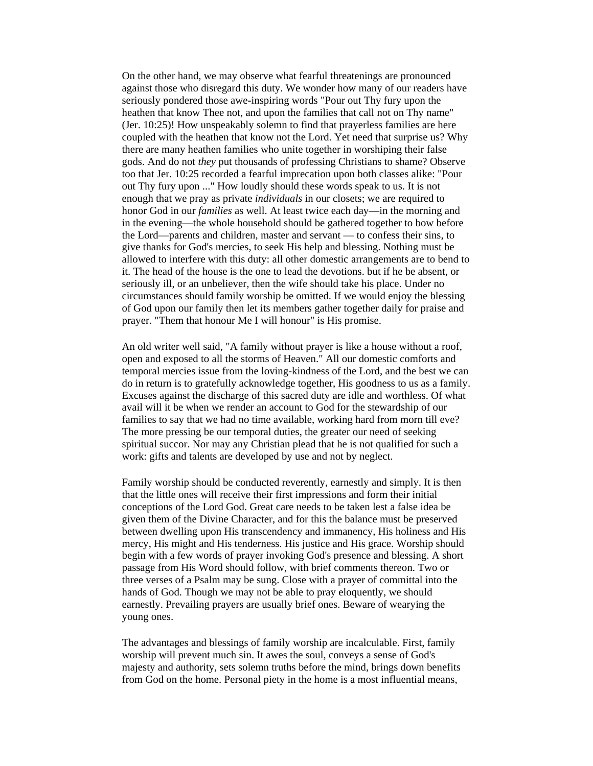On the other hand, we may observe what fearful threatenings are pronounced against those who disregard this duty. We wonder how many of our readers have seriously pondered those awe-inspiring words "Pour out Thy fury upon the heathen that know Thee not, and upon the families that call not on Thy name" (Jer. 10:25)! How unspeakably solemn to find that prayerless families are here coupled with the heathen that know not the Lord. Yet need that surprise us? Why there are many heathen families who unite together in worshiping their false gods. And do not *they* put thousands of professing Christians to shame? Observe too that Jer. 10:25 recorded a fearful imprecation upon both classes alike: "Pour out Thy fury upon ..." How loudly should these words speak to us. It is not enough that we pray as private *individuals* in our closets; we are required to honor God in our *families* as well. At least twice each day—in the morning and in the evening—the whole household should be gathered together to bow before the Lord—parents and children, master and servant — to confess their sins, to give thanks for God's mercies, to seek His help and blessing. Nothing must be allowed to interfere with this duty: all other domestic arrangements are to bend to it. The head of the house is the one to lead the devotions. but if he be absent, or seriously ill, or an unbeliever, then the wife should take his place. Under no circumstances should family worship be omitted. If we would enjoy the blessing of God upon our family then let its members gather together daily for praise and prayer. "Them that honour Me I will honour" is His promise.

An old writer well said, "A family without prayer is like a house without a roof, open and exposed to all the storms of Heaven." All our domestic comforts and temporal mercies issue from the loving-kindness of the Lord, and the best we can do in return is to gratefully acknowledge together, His goodness to us as a family. Excuses against the discharge of this sacred duty are idle and worthless. Of what avail will it be when we render an account to God for the stewardship of our families to say that we had no time available, working hard from morn till eve? The more pressing be our temporal duties, the greater our need of seeking spiritual succor. Nor may any Christian plead that he is not qualified for such a work: gifts and talents are developed by use and not by neglect.

Family worship should be conducted reverently, earnestly and simply. It is then that the little ones will receive their first impressions and form their initial conceptions of the Lord God. Great care needs to be taken lest a false idea be given them of the Divine Character, and for this the balance must be preserved between dwelling upon His transcendency and immanency, His holiness and His mercy, His might and His tenderness. His justice and His grace. Worship should begin with a few words of prayer invoking God's presence and blessing. A short passage from His Word should follow, with brief comments thereon. Two or three verses of a Psalm may be sung. Close with a prayer of committal into the hands of God. Though we may not be able to pray eloquently, we should earnestly. Prevailing prayers are usually brief ones. Beware of wearying the young ones.

The advantages and blessings of family worship are incalculable. First, family worship will prevent much sin. It awes the soul, conveys a sense of God's majesty and authority, sets solemn truths before the mind, brings down benefits from God on the home. Personal piety in the home is a most influential means,